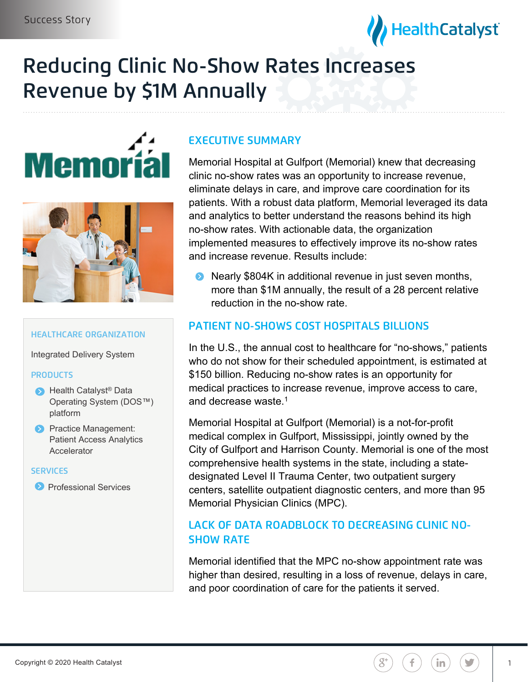

# Reducing Clinic No-Show Rates Increases Revenue by \$1M Annually





### HEALTHCARE ORGANIZATION

Integrated Delivery System

### **PRODUCTS**

- ▶ Health Catalyst<sup>®</sup> Data Operating System (DOS™) platform
- **Practice Management:** Patient Access Analytics Accelerator

### **SERVICES**

**Professional Services** 

# EXECUTIVE SUMMARY

Memorial Hospital at Gulfport (Memorial) knew that decreasing clinic no-show rates was an opportunity to increase revenue, eliminate delays in care, and improve care coordination for its patients. With a robust data platform, Memorial leveraged its data and analytics to better understand the reasons behind its high no-show rates. With actionable data, the organization implemented measures to effectively improve its no-show rates and increase revenue. Results include:

• Nearly \$804K in additional revenue in just seven months, more than \$1M annually, the result of a 28 percent relative reduction in the no-show rate.

## PATIENT NO-SHOWS COST HOSPITALS BILLIONS

In the U.S., the annual cost to healthcare for "no-shows," patients who do not show for their scheduled appointment, is estimated at \$150 billion. Reducing no-show rates is an opportunity for medical practices to increase revenue, improve access to care, and decrease waste.<sup>1</sup>

Memorial Hospital at Gulfport (Memorial) is a not-for-profit medical complex in Gulfport, Mississippi, jointly owned by the City of Gulfport and Harrison County. Memorial is one of the most comprehensive health systems in the state, including a statedesignated Level II Trauma Center, two outpatient surgery centers, satellite outpatient diagnostic centers, and more than 95 Memorial Physician Clinics (MPC).

# LACK OF DATA ROADBLOCK TO DECREASING CLINIC NO- SHOW RATE

Memorial identified that the MPC no-show appointment rate was higher than desired, resulting in a loss of revenue, delays in care, and poor coordination of care for the patients it served.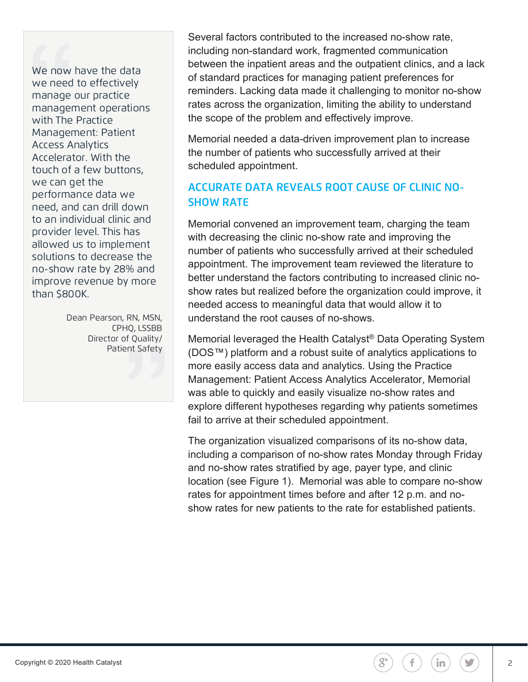We now have the data<br>we need to effectively<br>manage our practice<br>management operations<br>with The Practice<br>Management: Patient<br>Access Analytics<br>Accelerator. With the<br>touch of a few buttons,<br>we can get the<br>performance data we<br>

Dean Pearson, RN, MSN,<br>CPHQ, LSSBB<br>Director of Quality/ Patient Safety

Several factors contributed to the increased no-show rate, including non-standard work, fragmented communication between the inpatient areas and the outpatient clinics, and a lack of standard practices for managing patient preferences for reminders. Lacking data made it challenging to monitor no-show rates across the organization, limiting the ability to understand the scope of the problem and effectively improve.

Memorial needed a data-driven improvement plan to increase the number of patients who successfully arrived at their scheduled appointment.

# ACCURATE DATA REVEALS ROOT CAUSE OF CLINIC NO- SHOW RATE

Memorial convened an improvement team, charging the team with decreasing the clinic no-show rate and improving the number of patients who successfully arrived at their scheduled appointment. The improvement team reviewed the literature to better understand the factors contributing to increased clinic noshow rates but realized before the organization could improve, it needed access to meaningful data that would allow it to understand the root causes of no-shows.

Memorial leveraged the Health Catalyst® Data Operating System (DOS™) platform and a robust suite of analytics applications to more easily access data and analytics. Using the Practice Management: Patient Access Analytics Accelerator, Memorial was able to quickly and easily visualize no-show rates and explore different hypotheses regarding why patients sometimes fail to arrive at their scheduled appointment.

The organization visualized comparisons of its no-show data, including a comparison of no-show rates Monday through Friday and no-show rates stratified by age, payer type, and clinic location (see Figure 1). Memorial was able to compare no-show rates for appointment times before and after 12 p.m. and noshow rates for new patients to the rate for established patients.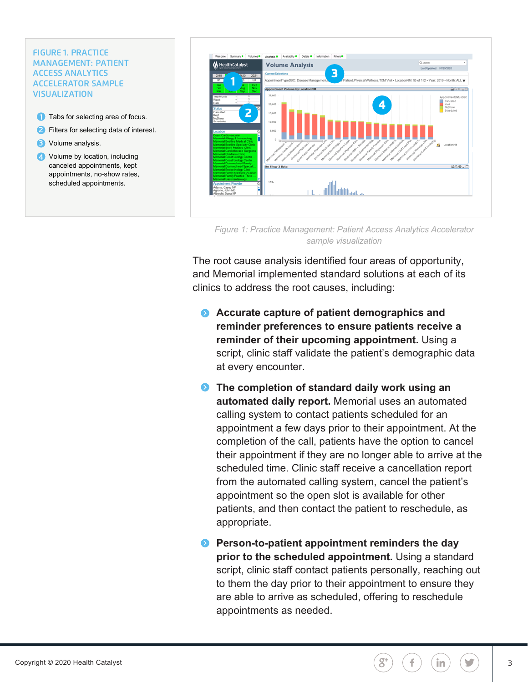# FIGURE 1. PRACTICE<br>MANAGEMENT: PATIENT<br>ACCESS ANALYTICS<br>ACCELERATOR SAMPLE<br>VISUALIZATION

- **1** Tabs for selecting area of focus.
- Filters for selecting data of interest.  $\bullet$
- **B** Volume analysis.
- 4 Volume by location, including canceled appointments, kept appointments, no-show rates, scheduled appointments.



*Figure 1: Practice Management: Patient Access Analytics Accelerator sample visualization*

The root cause analysis identified four areas of opportunity, and Memorial implemented standard solutions at each of its clinics to address the root causes, including:

- **Accurate capture of patient demographics and reminder preferences to ensure patients receive a reminder of their upcoming appointment.** Using a script, clinic staff validate the patient's demographic data at every encounter.
- **The completion of standard daily work using an automated daily report.** Memorial uses an automated calling system to contact patients scheduled for an appointment a few days prior to their appointment. At the completion of the call, patients have the option to cancel their appointment if they are no longer able to arrive at the scheduled time. Clinic staff receive a cancellation report from the automated calling system, cancel the patient's appointment so the open slot is available for other patients, and then contact the patient to reschedule, as appropriate.

**• Person-to-patient appointment reminders the day prior to the scheduled appointment.** Using a standard script, clinic staff contact patients personally, reaching out to them the day prior to their appointment to ensure they are able to arrive as scheduled, offering to reschedule appointments as needed.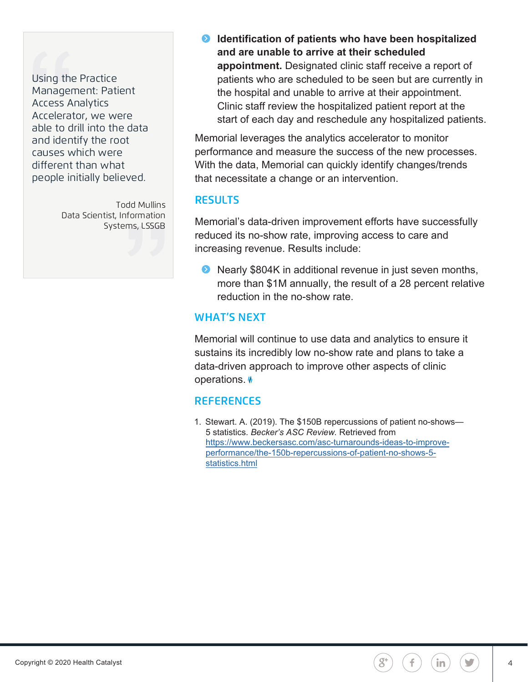Using the Practice<br>Management: Patient<br>Accelerator, we were<br>able to drill into the data<br>and identify the root<br>causes which were<br>different than what<br>people initially believed.

Todd Mullins Data Scientist, Information Systems, LSSGB **• Identification of patients who have been hospitalized and are unable to arrive at their scheduled appointment.** Designated clinic staff receive a report of patients who are scheduled to be seen but are currently in the hospital and unable to arrive at their appointment. Clinic staff review the hospitalized patient report at the start of each day and reschedule any hospitalized patients.

Memorial leverages the analytics accelerator to monitor performance and measure the success of the new processes. With the data, Memorial can quickly identify changes/trends that necessitate a change or an intervention.

# **RESULTS**

Memorial's data-driven improvement efforts have successfully reduced its no-show rate, improving access to care and increasing revenue. Results include:

**•** Nearly \$804K in additional revenue in just seven months, more than \$1M annually, the result of a 28 percent relative reduction in the no-show rate.

# WHAT'S NEXT

Memorial will continue to use data and analytics to ensure it sustains its incredibly low no-show rate and plans to take a data-driven approach to improve other aspects of clinic operations.

# **REFERENCES**

1. Stewart. A. (2019). The \$150B repercussions of patient no-shows— 5 statistics. *Becker's ASC Review.* Retrieved from https://www.beckersasc.com/asc-turnarounds-ideas-to-improveperformance/the-150b-repercussions-of-patient-no-shows-5 statistics.html